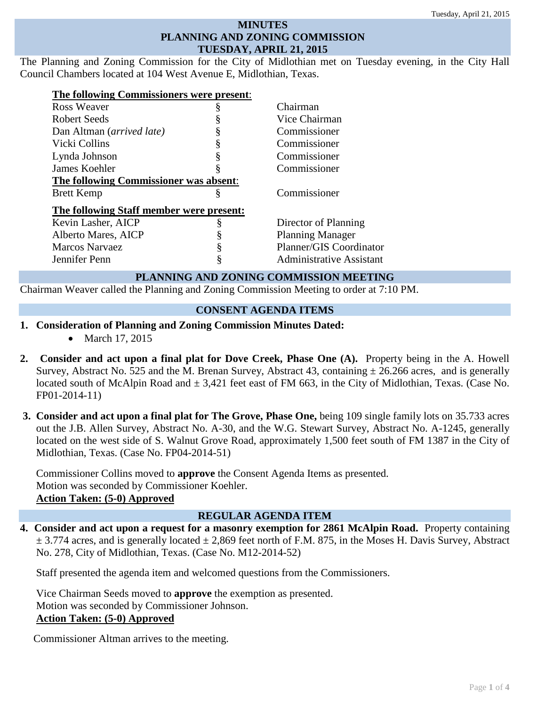#### **MINUTES PLANNING AND ZONING COMMISSION TUESDAY, APRIL 21, 2015**

The Planning and Zoning Commission for the City of Midlothian met on Tuesday evening, in the City Hall Council Chambers located at 104 West Avenue E, Midlothian, Texas.

| The following Commissioners were present:     |    |                                 |  |
|-----------------------------------------------|----|---------------------------------|--|
| Ross Weaver                                   | \$ | Chairman                        |  |
| Robert Seeds                                  |    | Vice Chairman                   |  |
| Dan Altman (arrived late)                     |    | Commissioner                    |  |
| Vicki Collins                                 | ş  | Commissioner                    |  |
| Lynda Johnson                                 |    | Commissioner                    |  |
| James Koehler                                 | ş  | Commissioner                    |  |
| <b>The following Commissioner was absent:</b> |    |                                 |  |
| <b>Brett Kemp</b>                             | §  | Commissioner                    |  |
| The following Staff member were present:      |    |                                 |  |
| Kevin Lasher, AICP                            | ş  | Director of Planning            |  |
| Alberto Mares, AICP                           | §  | <b>Planning Manager</b>         |  |
| <b>Marcos Narvaez</b>                         |    | Planner/GIS Coordinator         |  |
| Jennifer Penn                                 | ş  | <b>Administrative Assistant</b> |  |

# **PLANNING AND ZONING COMMISSION MEETING**

Chairman Weaver called the Planning and Zoning Commission Meeting to order at 7:10 PM.

# **CONSENT AGENDA ITEMS**

- **1. Consideration of Planning and Zoning Commission Minutes Dated:** 
	- March 17, 2015
- **2. Consider and act upon a final plat for Dove Creek, Phase One (A).** Property being in the A. Howell Survey, Abstract No. 525 and the M. Brenan Survey, Abstract 43, containing  $\pm$  26.266 acres, and is generally located south of McAlpin Road and  $\pm 3.421$  feet east of FM 663, in the City of Midlothian, Texas. (Case No. FP01-2014-11)
- **3. Consider and act upon a final plat for The Grove, Phase One,** being 109 single family lots on 35.733 acres out the J.B. Allen Survey, Abstract No. A-30, and the W.G. Stewart Survey, Abstract No. A-1245, generally located on the west side of S. Walnut Grove Road, approximately 1,500 feet south of FM 1387 in the City of Midlothian, Texas. (Case No. FP04-2014-51)

Commissioner Collins moved to **approve** the Consent Agenda Items as presented. Motion was seconded by Commissioner Koehler. **Action Taken: (5-0) Approved**

### **REGULAR AGENDA ITEM**

**4. Consider and act upon a request for a masonry exemption for 2861 McAlpin Road.** Property containing  $\pm$  3.774 acres, and is generally located  $\pm$  2.869 feet north of F.M. 875, in the Moses H. Davis Survey, Abstract No. 278, City of Midlothian, Texas. (Case No. M12-2014-52)

Staff presented the agenda item and welcomed questions from the Commissioners.

Vice Chairman Seeds moved to **approve** the exemption as presented. Motion was seconded by Commissioner Johnson. **Action Taken: (5-0) Approved**

Commissioner Altman arrives to the meeting.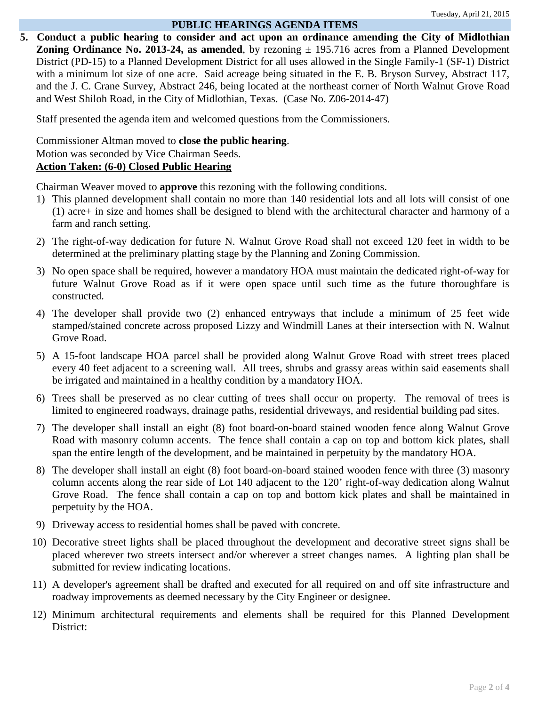#### **PUBLIC HEARINGS AGENDA ITEMS**

**5. Conduct a public hearing to consider and act upon an ordinance amending the City of Midlothian Zoning Ordinance No. 2013-24, as amended**, by rezoning  $\pm$  195.716 acres from a Planned Development District (PD-15) to a Planned Development District for all uses allowed in the Single Family-1 (SF-1) District with a minimum lot size of one acre. Said acreage being situated in the E. B. Bryson Survey, Abstract 117, and the J. C. Crane Survey, Abstract 246, being located at the northeast corner of North Walnut Grove Road and West Shiloh Road, in the City of Midlothian, Texas.(Case No. Z06-2014-47)

Staff presented the agenda item and welcomed questions from the Commissioners.

Commissioner Altman moved to **close the public hearing**. Motion was seconded by Vice Chairman Seeds. **Action Taken: (6-0) Closed Public Hearing**

Chairman Weaver moved to **approve** this rezoning with the following conditions.

- 1) This planned development shall contain no more than 140 residential lots and all lots will consist of one (1) acre+ in size and homes shall be designed to blend with the architectural character and harmony of a farm and ranch setting.
- 2) The right-of-way dedication for future N. Walnut Grove Road shall not exceed 120 feet in width to be determined at the preliminary platting stage by the Planning and Zoning Commission.
- 3) No open space shall be required, however a mandatory HOA must maintain the dedicated right-of-way for future Walnut Grove Road as if it were open space until such time as the future thoroughfare is constructed.
- 4) The developer shall provide two (2) enhanced entryways that include a minimum of 25 feet wide stamped/stained concrete across proposed Lizzy and Windmill Lanes at their intersection with N. Walnut Grove Road.
- 5) A 15-foot landscape HOA parcel shall be provided along Walnut Grove Road with street trees placed every 40 feet adjacent to a screening wall. All trees, shrubs and grassy areas within said easements shall be irrigated and maintained in a healthy condition by a mandatory HOA.
- 6) Trees shall be preserved as no clear cutting of trees shall occur on property. The removal of trees is limited to engineered roadways, drainage paths, residential driveways, and residential building pad sites.
- 7) The developer shall install an eight (8) foot board-on-board stained wooden fence along Walnut Grove Road with masonry column accents. The fence shall contain a cap on top and bottom kick plates, shall span the entire length of the development, and be maintained in perpetuity by the mandatory HOA.
- 8) The developer shall install an eight (8) foot board-on-board stained wooden fence with three (3) masonry column accents along the rear side of Lot 140 adjacent to the 120' right-of-way dedication along Walnut Grove Road. The fence shall contain a cap on top and bottom kick plates and shall be maintained in perpetuity by the HOA.
- 9) Driveway access to residential homes shall be paved with concrete.
- 10) Decorative street lights shall be placed throughout the development and decorative street signs shall be placed wherever two streets intersect and/or wherever a street changes names. A lighting plan shall be submitted for review indicating locations.
- 11) A developer's agreement shall be drafted and executed for all required on and off site infrastructure and roadway improvements as deemed necessary by the City Engineer or designee.
- 12) Minimum architectural requirements and elements shall be required for this Planned Development District: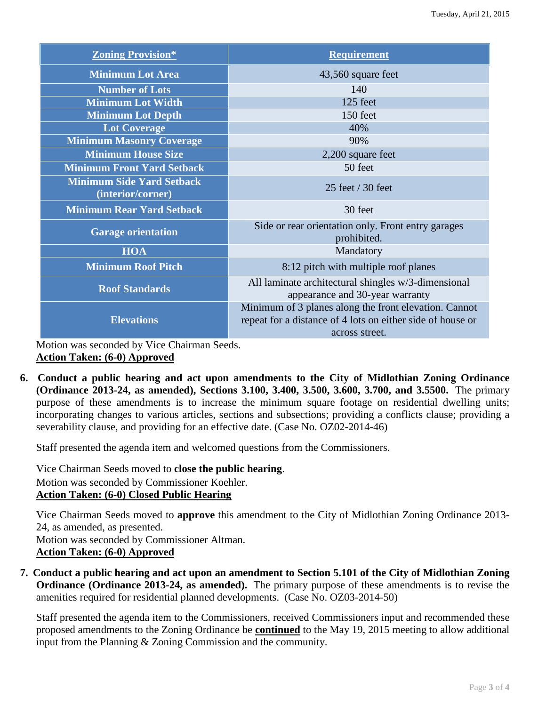| <b>Zoning Provision*</b>                              | <b>Requirement</b>                                                                                                                    |
|-------------------------------------------------------|---------------------------------------------------------------------------------------------------------------------------------------|
| <b>Minimum Lot Area</b>                               | 43,560 square feet                                                                                                                    |
| <b>Number of Lots</b>                                 | 140                                                                                                                                   |
| <b>Minimum Lot Width</b>                              | 125 feet                                                                                                                              |
| <b>Minimum Lot Depth</b>                              | 150 feet                                                                                                                              |
| <b>Lot Coverage</b>                                   | 40%                                                                                                                                   |
| <b>Minimum Masonry Coverage</b>                       | 90%                                                                                                                                   |
| <b>Minimum House Size</b>                             | 2,200 square feet                                                                                                                     |
| <b>Minimum Front Yard Setback</b>                     | 50 feet                                                                                                                               |
| <b>Minimum Side Yard Setback</b><br>(interior/corner) | 25 feet / 30 feet                                                                                                                     |
| <b>Minimum Rear Yard Setback</b>                      | 30 feet                                                                                                                               |
| <b>Garage orientation</b>                             | Side or rear orientation only. Front entry garages<br>prohibited.                                                                     |
| <b>HOA</b>                                            | Mandatory                                                                                                                             |
| <b>Minimum Roof Pitch</b>                             | 8:12 pitch with multiple roof planes                                                                                                  |
| <b>Roof Standards</b>                                 | All laminate architectural shingles w/3-dimensional<br>appearance and 30-year warranty                                                |
| <b>Elevations</b>                                     | Minimum of 3 planes along the front elevation. Cannot<br>repeat for a distance of 4 lots on either side of house or<br>across street. |

Motion was seconded by Vice Chairman Seeds. **Action Taken: (6-0) Approved**

**6. Conduct a public hearing and act upon amendments to the City of Midlothian Zoning Ordinance (Ordinance 2013-24, as amended), Sections 3.100, 3.400, 3.500, 3.600, 3.700, and 3.5500.** The primary purpose of these amendments is to increase the minimum square footage on residential dwelling units; incorporating changes to various articles, sections and subsections; providing a conflicts clause; providing a severability clause, and providing for an effective date. (Case No. OZ02-2014-46)

Staff presented the agenda item and welcomed questions from the Commissioners.

Vice Chairman Seeds moved to **close the public hearing**. Motion was seconded by Commissioner Koehler. **Action Taken: (6-0) Closed Public Hearing**

Vice Chairman Seeds moved to **approve** this amendment to the City of Midlothian Zoning Ordinance 2013- 24, as amended, as presented. Motion was seconded by Commissioner Altman. **Action Taken: (6-0) Approved**

**7. Conduct a public hearing and act upon an amendment to Section 5.101 of the City of Midlothian Zoning Ordinance (Ordinance 2013-24, as amended).** The primary purpose of these amendments is to revise the amenities required for residential planned developments. (Case No. OZ03-2014-50)

Staff presented the agenda item to the Commissioners, received Commissioners input and recommended these proposed amendments to the Zoning Ordinance be **continued** to the May 19, 2015 meeting to allow additional input from the Planning & Zoning Commission and the community.